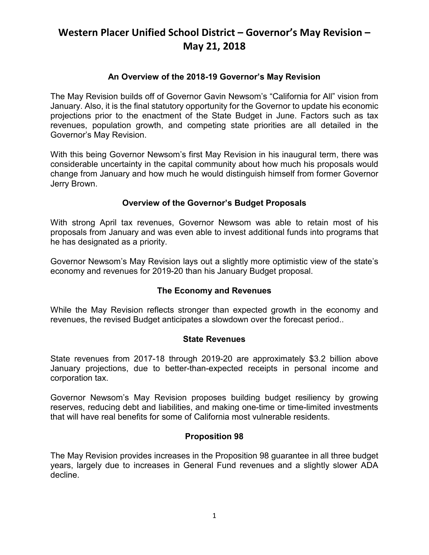### **An Overview of the 2018-19 Governor's May Revision**

The May Revision builds off of Governor Gavin Newsom's "California for All" vision from January. Also, it is the final statutory opportunity for the Governor to update his economic projections prior to the enactment of the State Budget in June. Factors such as tax revenues, population growth, and competing state priorities are all detailed in the Governor's May Revision.

With this being Governor Newsom's first May Revision in his inaugural term, there was considerable uncertainty in the capital community about how much his proposals would change from January and how much he would distinguish himself from former Governor Jerry Brown.

### **Overview of the Governor's Budget Proposals**

With strong April tax revenues, Governor Newsom was able to retain most of his proposals from January and was even able to invest additional funds into programs that he has designated as a priority.

Governor Newsom's May Revision lays out a slightly more optimistic view of the state's economy and revenues for 2019-20 than his January Budget proposal.

### **The Economy and Revenues**

While the May Revision reflects stronger than expected growth in the economy and revenues, the revised Budget anticipates a slowdown over the forecast period..

### **State Revenues**

State revenues from 2017-18 through 2019-20 are approximately \$3.2 billion above January projections, due to better-than-expected receipts in personal income and corporation tax.

Governor Newsom's May Revision proposes building budget resiliency by growing reserves, reducing debt and liabilities, and making one-time or time-limited investments that will have real benefits for some of California most vulnerable residents.

### **Proposition 98**

The May Revision provides increases in the Proposition 98 guarantee in all three budget years, largely due to increases in General Fund revenues and a slightly slower ADA decline.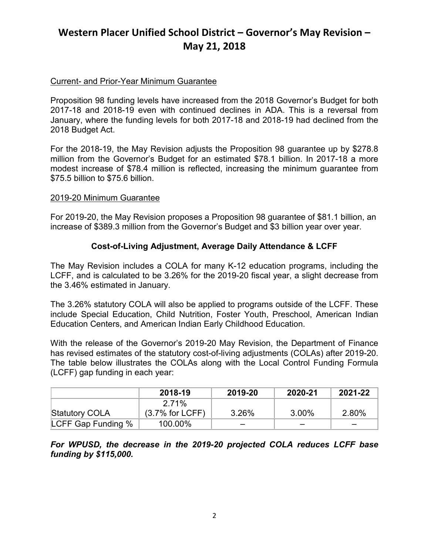### Current- and Prior-Year Minimum Guarantee

Proposition 98 funding levels have increased from the 2018 Governor's Budget for both 2017-18 and 2018-19 even with continued declines in ADA. This is a reversal from January, where the funding levels for both 2017-18 and 2018-19 had declined from the 2018 Budget Act.

For the 2018-19, the May Revision adjusts the Proposition 98 guarantee up by \$278.8 million from the Governor's Budget for an estimated \$78.1 billion. In 2017-18 a more modest increase of \$78.4 million is reflected, increasing the minimum guarantee from \$75.5 billion to \$75.6 billion.

#### 2019-20 Minimum Guarantee

For 2019-20, the May Revision proposes a Proposition 98 guarantee of \$81.1 billion, an increase of \$389.3 million from the Governor's Budget and \$3 billion year over year.

### **Cost-of-Living Adjustment, Average Daily Attendance & LCFF**

The May Revision includes a COLA for many K-12 education programs, including the LCFF, and is calculated to be 3.26% for the 2019-20 fiscal year, a slight decrease from the 3.46% estimated in January.

The 3.26% statutory COLA will also be applied to programs outside of the LCFF. These include Special Education, Child Nutrition, Foster Youth, Preschool, American Indian Education Centers, and American Indian Early Childhood Education.

With the release of the Governor's 2019-20 May Revision, the Department of Finance has revised estimates of the statutory cost-of-living adjustments (COLAs) after 2019-20. The table below illustrates the COLAs along with the Local Control Funding Formula (LCFF) gap funding in each year:

|                       | 2018-19           | 2019-20 | 2020-21  | 2021-22 |
|-----------------------|-------------------|---------|----------|---------|
|                       | 2 71%             |         |          |         |
| <b>Statutory COLA</b> | $(3.7%$ for LCFF) | 3.26%   | $3.00\%$ | 2.80%   |
| LCFF Gap Funding %    | 100.00%           |         |          |         |

*For WPUSD, the decrease in the 2019-20 projected COLA reduces LCFF base funding by \$115,000.*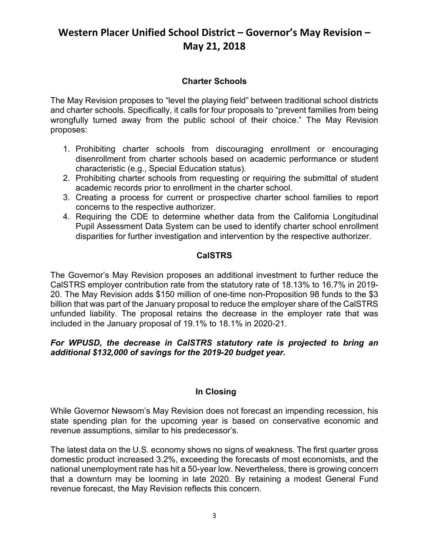### **Charter Schools**

The May Revision proposes to "level the playing field" between traditional school districts and charter schools. Specifically, it calls for four proposals to "prevent families from being wrongfully turned away from the public school of their choice." The May Revision proposes:

- 1. Prohibiting charter schools from discouraging enrollment or encouraging disenrollment from charter schools based on academic performance or student characteristic (e.g., Special Education status).
- 2. Prohibiting charter schools from requesting or requiring the submittal of student academic records prior to enrollment in the charter school.
- 3. Creating a process for current or prospective charter school families to report concerns to the respective authorizer.
- 4. Requiring the CDE to determine whether data from the California Longitudinal Pupil Assessment Data System can be used to identify charter school enrollment disparities for further investigation and intervention by the respective authorizer.

## **CalSTRS**

The Governor's May Revision proposes an additional investment to further reduce the CalSTRS employer contribution rate from the statutory rate of 18.13% to 16.7% in 2019- 20. The May Revision adds \$150 million of one-time non-Proposition 98 funds to the \$3 billion that was part of the January proposal to reduce the employer share of the CalSTRS unfunded liability. The proposal retains the decrease in the employer rate that was included in the January proposal of 19.1% to 18.1% in 2020-21.

### *For WPUSD, the decrease in CalSTRS statutory rate is projected to bring an additional \$132,000 of savings for the 2019-20 budget year.*

### **In Closing**

While Governor Newsom's May Revision does not forecast an impending recession, his state spending plan for the upcoming year is based on conservative economic and revenue assumptions, similar to his predecessor's.

The latest data on the U.S. economy shows no signs of weakness. The first quarter gross domestic product increased 3.2%, exceeding the forecasts of most economists, and the national unemployment rate has hit a 50-year low. Nevertheless, there is growing concern that a downturn may be looming in late 2020. By retaining a modest General Fund revenue forecast, the May Revision reflects this concern.